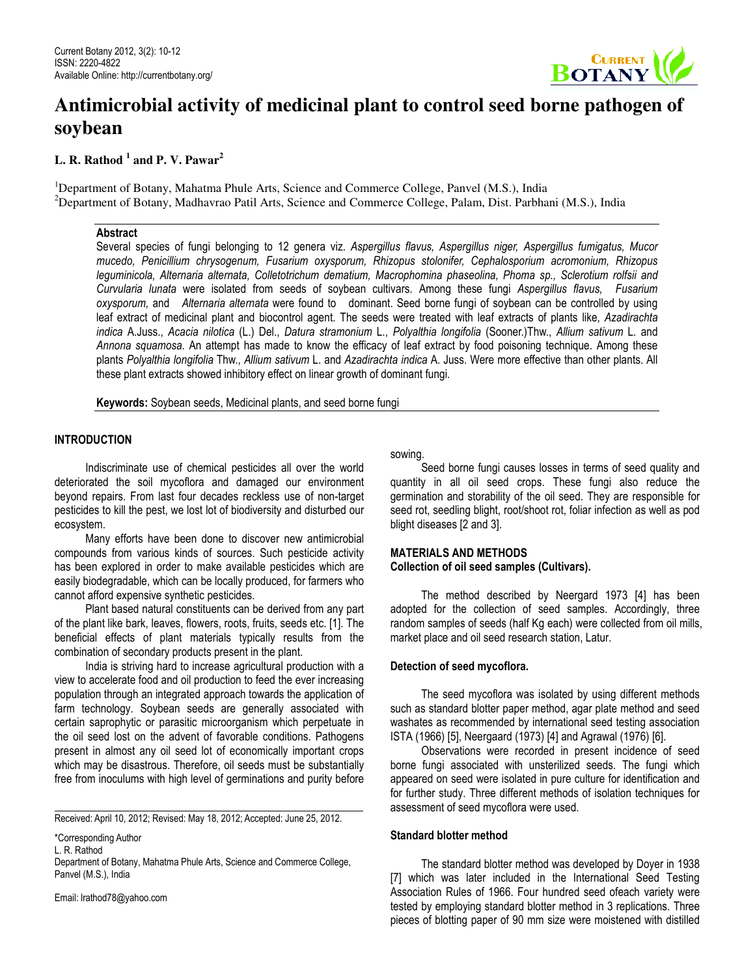

# **Antimicrobial activity of medicinal plant to control seed borne pathogen of soybean**

# **L. R. Rathod <sup>1</sup> and P. V. Pawar<sup>2</sup>**

<sup>1</sup>Department of Botany, Mahatma Phule Arts, Science and Commerce College, Panvel (M.S.), India  $2$ Department of Botany, Madhavrao Patil Arts, Science and Commerce College, Palam, Dist. Parbhani (M.S.), India

# Abstract

Several species of fungi belonging to 12 genera viz. Aspergillus flavus, Aspergillus niger, Aspergillus fumigatus, Mucor mucedo, Penicillium chrysogenum, Fusarium oxysporum, Rhizopus stolonifer, Cephalosporium acromonium, Rhizopus leguminicola, Alternaria alternata, Colletotrichum dematium, Macrophomina phaseolina, Phoma sp., Sclerotium rolfsii and Curvularia lunata were isolated from seeds of soybean cultivars. Among these fungi Aspergillus flavus, Fusarium oxysporum, and Alternaria alternata were found to dominant. Seed borne fungi of soybean can be controlled by using leaf extract of medicinal plant and biocontrol agent. The seeds were treated with leaf extracts of plants like, Azadirachta indica A.Juss., Acacia nilotica (L.) Del., Datura stramonium L., Polyalthia longifolia (Sooner.)Thw., Allium sativum L. and Annona squamosa. An attempt has made to know the efficacy of leaf extract by food poisoning technique. Among these plants Polyalthia longifolia Thw., Allium sativum L. and Azadirachta indica A. Juss. Were more effective than other plants. All these plant extracts showed inhibitory effect on linear growth of dominant fungi.

Keywords: Soybean seeds, Medicinal plants, and seed borne fungi

# **INTRODUCTION**

 Indiscriminate use of chemical pesticides all over the world deteriorated the soil mycoflora and damaged our environment beyond repairs. From last four decades reckless use of non-target pesticides to kill the pest, we lost lot of biodiversity and disturbed our ecosystem.

 Many efforts have been done to discover new antimicrobial compounds from various kinds of sources. Such pesticide activity has been explored in order to make available pesticides which are easily biodegradable, which can be locally produced, for farmers who cannot afford expensive synthetic pesticides.

 Plant based natural constituents can be derived from any part of the plant like bark, leaves, flowers, roots, fruits, seeds etc. [1]. The beneficial effects of plant materials typically results from the combination of secondary products present in the plant.

 India is striving hard to increase agricultural production with a view to accelerate food and oil production to feed the ever increasing population through an integrated approach towards the application of farm technology. Soybean seeds are generally associated with certain saprophytic or parasitic microorganism which perpetuate in the oil seed lost on the advent of favorable conditions. Pathogens present in almost any oil seed lot of economically important crops which may be disastrous. Therefore, oil seeds must be substantially free from inoculums with high level of germinations and purity before

Received: April 10, 2012; Revised: May 18, 2012; Accepted: June 25, 2012.

Department of Botany, Mahatma Phule Arts, Science and Commerce College, Panvel (M.S.), India

Email: lrathod78@yahoo.com

sowing.

 Seed borne fungi causes losses in terms of seed quality and quantity in all oil seed crops. These fungi also reduce the germination and storability of the oil seed. They are responsible for seed rot, seedling blight, root/shoot rot, foliar infection as well as pod blight diseases [2 and 3].

# MATERIALS AND METHODS Collection of oil seed samples (Cultivars).

 The method described by Neergard 1973 [4] has been adopted for the collection of seed samples. Accordingly, three random samples of seeds (half Kg each) were collected from oil mills, market place and oil seed research station, Latur.

## Detection of seed mycoflora.

 The seed mycoflora was isolated by using different methods such as standard blotter paper method, agar plate method and seed washates as recommended by international seed testing association ISTA (1966) [5], Neergaard (1973) [4] and Agrawal (1976) [6].

 Observations were recorded in present incidence of seed borne fungi associated with unsterilized seeds. The fungi which appeared on seed were isolated in pure culture for identification and for further study. Three different methods of isolation techniques for assessment of seed mycoflora were used.

# Standard blotter method

 The standard blotter method was developed by Doyer in 1938 [7] which was later included in the International Seed Testing Association Rules of 1966. Four hundred seed ofeach variety were tested by employing standard blotter method in 3 replications. Three pieces of blotting paper of 90 mm size were moistened with distilled

<sup>\*</sup>Corresponding Author

L. R. Rathod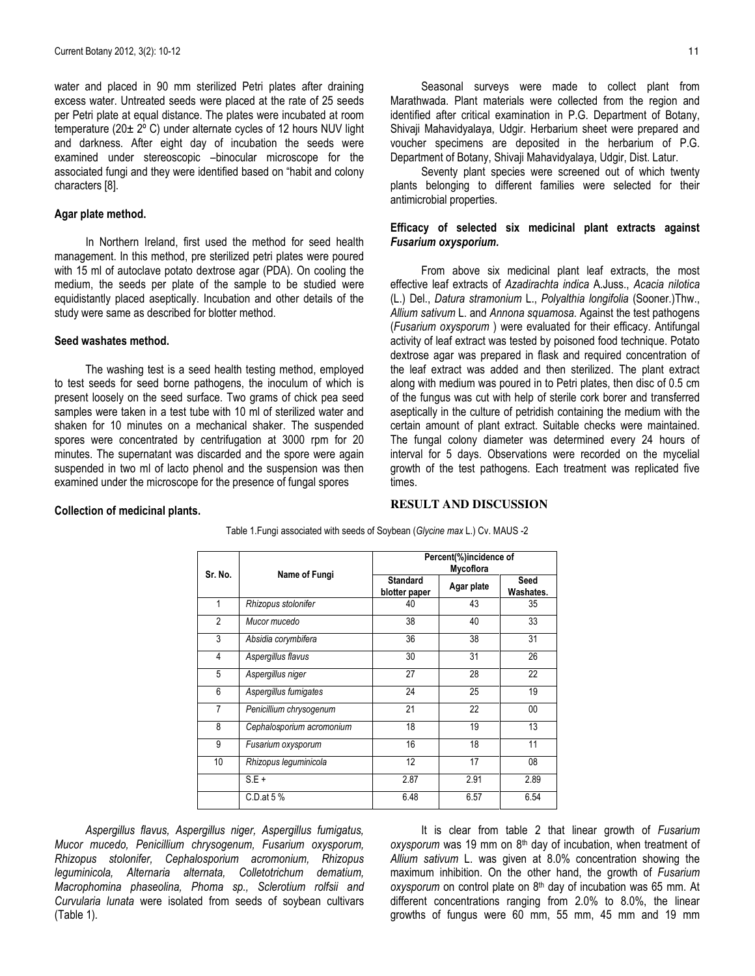water and placed in 90 mm sterilized Petri plates after draining excess water. Untreated seeds were placed at the rate of 25 seeds per Petri plate at equal distance. The plates were incubated at room temperature (20± 2º C) under alternate cycles of 12 hours NUV light and darkness. After eight day of incubation the seeds were examined under stereoscopic –binocular microscope for the associated fungi and they were identified based on "habit and colony characters [8].

## Agar plate method.

 In Northern Ireland, first used the method for seed health management. In this method, pre sterilized petri plates were poured with 15 ml of autoclave potato dextrose agar (PDA). On cooling the medium, the seeds per plate of the sample to be studied were equidistantly placed aseptically. Incubation and other details of the study were same as described for blotter method.

### Seed washates method.

 The washing test is a seed health testing method, employed to test seeds for seed borne pathogens, the inoculum of which is present loosely on the seed surface. Two grams of chick pea seed samples were taken in a test tube with 10 ml of sterilized water and shaken for 10 minutes on a mechanical shaker. The suspended spores were concentrated by centrifugation at 3000 rpm for 20 minutes. The supernatant was discarded and the spore were again suspended in two ml of lacto phenol and the suspension was then examined under the microscope for the presence of fungal spores

 Seasonal surveys were made to collect plant from Marathwada. Plant materials were collected from the region and identified after critical examination in P.G. Department of Botany, Shivaji Mahavidyalaya, Udgir. Herbarium sheet were prepared and voucher specimens are deposited in the herbarium of P.G. Department of Botany, Shivaji Mahavidyalaya, Udgir, Dist. Latur.

 Seventy plant species were screened out of which twenty plants belonging to different families were selected for their antimicrobial properties.

## Efficacy of selected six medicinal plant extracts against Fusarium oxysporium.

 From above six medicinal plant leaf extracts, the most effective leaf extracts of Azadirachta indica A.Juss., Acacia nilotica (L.) Del., Datura stramonium L., Polyalthia longifolia (Sooner.)Thw., Allium sativum L. and Annona squamosa. Against the test pathogens (Fusarium oxysporum ) were evaluated for their efficacy. Antifungal activity of leaf extract was tested by poisoned food technique. Potato dextrose agar was prepared in flask and required concentration of the leaf extract was added and then sterilized. The plant extract along with medium was poured in to Petri plates, then disc of 0.5 cm of the fungus was cut with help of sterile cork borer and transferred aseptically in the culture of petridish containing the medium with the certain amount of plant extract. Suitable checks were maintained. The fungal colony diameter was determined every 24 hours of interval for 5 days. Observations were recorded on the mycelial growth of the test pathogens. Each treatment was replicated five times.

#### Collection of medicinal plants.

#### **RESULT AND DISCUSSION**

| Table 1.Fungi associated with seeds of Soybean (Glycine max L.) Cv. MAUS -2 |  |  |
|-----------------------------------------------------------------------------|--|--|
|-----------------------------------------------------------------------------|--|--|

| Sr. No.        |                           | Percent(%)incidence of<br>Mycoflora |            |                   |  |  |
|----------------|---------------------------|-------------------------------------|------------|-------------------|--|--|
|                | Name of Fungi             | <b>Standard</b><br>blotter paper    | Agar plate | Seed<br>Washates. |  |  |
| 1              | Rhizopus stolonifer       | 40                                  | 43         | 35                |  |  |
| $\mathfrak{p}$ | Mucor mucedo              | 38                                  | 40         | 33                |  |  |
| 3              | Absidia corymbifera       | 36                                  | 38         | 31                |  |  |
| $\overline{4}$ | Aspergillus flavus        | 30                                  | 31         | 26                |  |  |
| 5              | Aspergillus niger         | 27                                  | 28         | 22                |  |  |
| 6              | Aspergillus fumigates     | 24                                  | 25         | 19                |  |  |
| $\overline{7}$ | Penicillium chrysogenum   | 21                                  | 22         | 00                |  |  |
| 8              | Cephalosporium acromonium | 18                                  | 19         | 13                |  |  |
| 9              | Fusarium oxysporum        | 16                                  | 18         | 11                |  |  |
| 10             | Rhizopus leguminicola     | 12                                  | 17         | 08                |  |  |
|                | $S.E +$                   | 2.87                                | 2.91       | 2.89              |  |  |
|                | $C.D$ . at 5 %            | 6.48                                | 6.57       | 6.54              |  |  |

 Aspergillus flavus, Aspergillus niger, Aspergillus fumigatus, Mucor mucedo, Penicillium chrysogenum, Fusarium oxysporum, Rhizopus stolonifer, Cephalosporium acromonium, Rhizopus leguminicola, Alternaria alternata, Colletotrichum dematium, Macrophomina phaseolina, Phoma sp., Sclerotium rolfsii and Curvularia lunata were isolated from seeds of soybean cultivars (Table 1).

It is clear from table 2 that linear growth of Fusarium  $oxy$ sporum was 19 mm on  $8<sup>th</sup>$  day of incubation, when treatment of Allium sativum L. was given at 8.0% concentration showing the maximum inhibition. On the other hand, the growth of Fusarium  $oxygenum$  on control plate on  $8<sup>th</sup>$  day of incubation was 65 mm. At different concentrations ranging from 2.0% to 8.0%, the linear growths of fungus were 60 mm, 55 mm, 45 mm and 19 mm